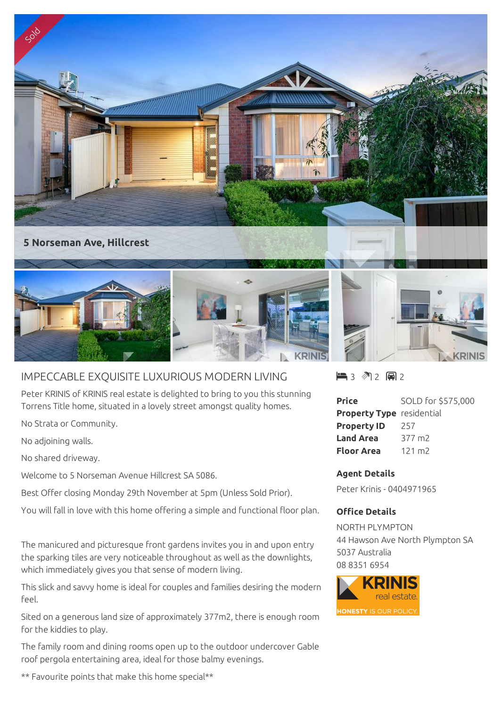

## IMPECCABLE EXQUISITE LUXURIOUS MODERN LIVING

Peter KRINIS of KRINIS real estate is delighted to bring to you this stunning Torrens Title home, situated in a lovely street amongst quality homes.

No Strata or Community.

No adjoining walls.

No shared driveway.

Welcome to 5 Norseman Avenue Hillcrest SA 5086.

Best Offer closing Monday 29th November at 5pm (Unless Sold Prior).

You will fall in love with this home offering a simple and functional floor plan.

The manicured and picturesque front gardens invites you in and upon entry the sparking tiles are very noticeable throughout as well as the downlights, which immediately gives you that sense of modern living.

This slick and savvy home is ideal for couples and families desiring the modern feel.

Sited on a generous land size of approximately 377m2, there is enough room for the kiddies to play.

The family room and dining rooms open up to the outdoor undercover Gable roof pergola entertaining area, ideal for those balmy evenings.

 $\blacksquare$  3 2 2 2 2

| <b>Price</b>                     | SOLD for \$575,000 |
|----------------------------------|--------------------|
| <b>Property Type</b> residential |                    |
| <b>Property ID</b>               | 257                |
| <b>Land Area</b>                 | 377 m <sub>2</sub> |
| Floor Area                       | $121 \text{ m}$    |

## **Agent Details**

Peter Krinis - 0404971965

## **Office Details**

NORTH PLYMPTON 44 Hawson Ave North Plympton SA 5037 Australia 08 8351 6954



\*\* Favourite points that make this home special\*\*